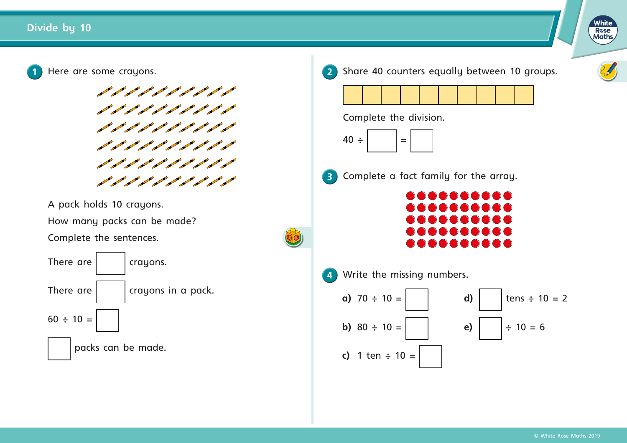



A pack holds 10 crayons.

How many packs can be made?

Complete the sentences.



**2** Share 40 counters equally between 10 groups.









**3** Complete a fact family for the array.